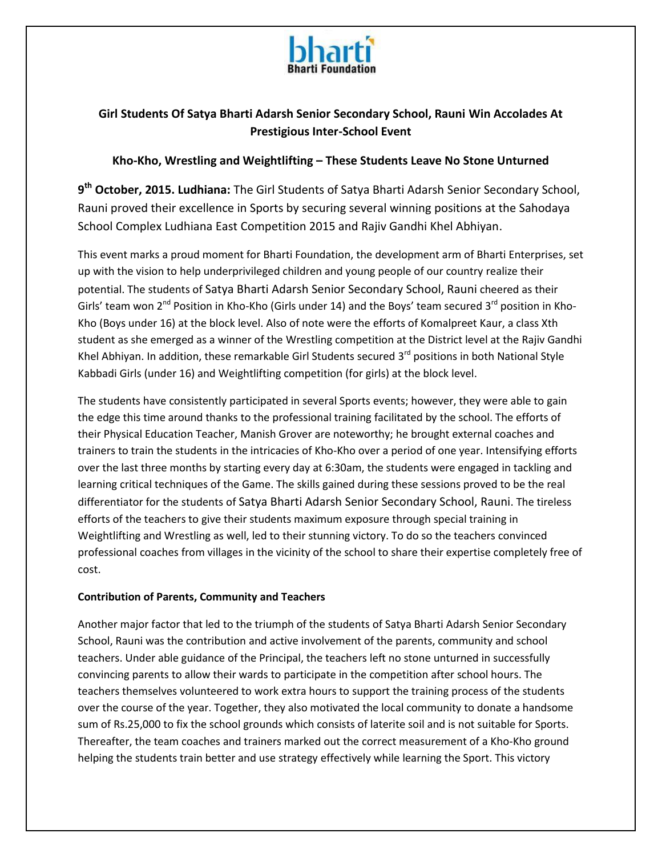

# **Girl Students Of Satya Bharti Adarsh Senior Secondary School, Rauni Win Accolades At Prestigious Inter-School Event**

#### **Kho-Kho, Wrestling and Weightlifting – These Students Leave No Stone Unturned**

**9 th October, 2015. Ludhiana:** The Girl Students of Satya Bharti Adarsh Senior Secondary School, Rauni proved their excellence in Sports by securing several winning positions at the Sahodaya School Complex Ludhiana East Competition 2015 and Rajiv Gandhi Khel Abhiyan.

This event marks a proud moment for Bharti Foundation, the development arm of Bharti Enterprises, set up with the vision to help underprivileged children and young people of our country realize their potential. The students of Satya Bharti Adarsh Senior Secondary School, Rauni cheered as their Girls' team won  $2^{nd}$  Position in Kho-Kho (Girls under 14) and the Boys' team secured  $3^{rd}$  position in Kho-Kho (Boys under 16) at the block level. Also of note were the efforts of Komalpreet Kaur, a class Xth student as she emerged as a winner of the Wrestling competition at the District level at the Rajiv Gandhi Khel Abhiyan. In addition, these remarkable Girl Students secured 3<sup>rd</sup> positions in both National Style Kabbadi Girls (under 16) and Weightlifting competition (for girls) at the block level.

The students have consistently participated in several Sports events; however, they were able to gain the edge this time around thanks to the professional training facilitated by the school. The efforts of their Physical Education Teacher, Manish Grover are noteworthy; he brought external coaches and trainers to train the students in the intricacies of Kho-Kho over a period of one year. Intensifying efforts over the last three months by starting every day at 6:30am, the students were engaged in tackling and learning critical techniques of the Game. The skills gained during these sessions proved to be the real differentiator for the students of Satya Bharti Adarsh Senior Secondary School, Rauni. The tireless efforts of the teachers to give their students maximum exposure through special training in Weightlifting and Wrestling as well, led to their stunning victory. To do so the teachers convinced professional coaches from villages in the vicinity of the school to share their expertise completely free of cost.

#### **Contribution of Parents, Community and Teachers**

Another major factor that led to the triumph of the students of Satya Bharti Adarsh Senior Secondary School, Rauni was the contribution and active involvement of the parents, community and school teachers. Under able guidance of the Principal, the teachers left no stone unturned in successfully convincing parents to allow their wards to participate in the competition after school hours. The teachers themselves volunteered to work extra hours to support the training process of the students over the course of the year. Together, they also motivated the local community to donate a handsome sum of Rs.25,000 to fix the school grounds which consists of laterite soil and is not suitable for Sports. Thereafter, the team coaches and trainers marked out the correct measurement of a Kho-Kho ground helping the students train better and use strategy effectively while learning the Sport. This victory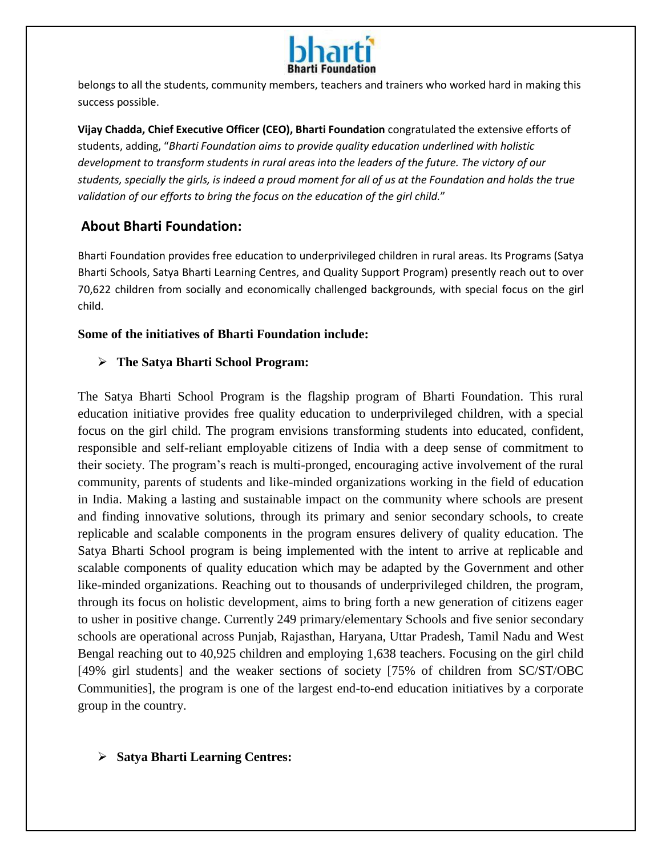

belongs to all the students, community members, teachers and trainers who worked hard in making this success possible.

**Vijay Chadda, Chief Executive Officer (CEO), Bharti Foundation** congratulated the extensive efforts of students, adding, "*Bharti Foundation aims to provide quality education underlined with holistic development to transform students in rural areas into the leaders of the future. The victory of our students, specially the girls, is indeed a proud moment for all of us at the Foundation and holds the true validation of our efforts to bring the focus on the education of the girl child.*"

# **About Bharti Foundation:**

Bharti Foundation provides free education to underprivileged children in rural areas. Its Programs (Satya Bharti Schools, Satya Bharti Learning Centres, and Quality Support Program) presently reach out to over 70,622 children from socially and economically challenged backgrounds, with special focus on the girl child.

## **Some of the initiatives of Bharti Foundation include:**

# **The Satya Bharti School Program:**

The Satya Bharti School Program is the flagship program of Bharti Foundation. This rural education initiative provides free quality education to underprivileged children, with a special focus on the girl child. The program envisions transforming students into educated, confident, responsible and self-reliant employable citizens of India with a deep sense of commitment to their society. The program's reach is multi-pronged, encouraging active involvement of the rural community, parents of students and like-minded organizations working in the field of education in India. Making a lasting and sustainable impact on the community where schools are present and finding innovative solutions, through its primary and senior secondary schools, to create replicable and scalable components in the program ensures delivery of quality education. The Satya Bharti School program is being implemented with the intent to arrive at replicable and scalable components of quality education which may be adapted by the Government and other like-minded organizations. Reaching out to thousands of underprivileged children, the program, through its focus on holistic development, aims to bring forth a new generation of citizens eager to usher in positive change. Currently 249 primary/elementary Schools and five senior secondary schools are operational across Punjab, Rajasthan, Haryana, Uttar Pradesh, Tamil Nadu and West Bengal reaching out to 40,925 children and employing 1,638 teachers. Focusing on the girl child [49% girl students] and the weaker sections of society [75% of children from SC/ST/OBC Communities], the program is one of the largest end-to-end education initiatives by a corporate group in the country.

## **Satya Bharti Learning Centres:**